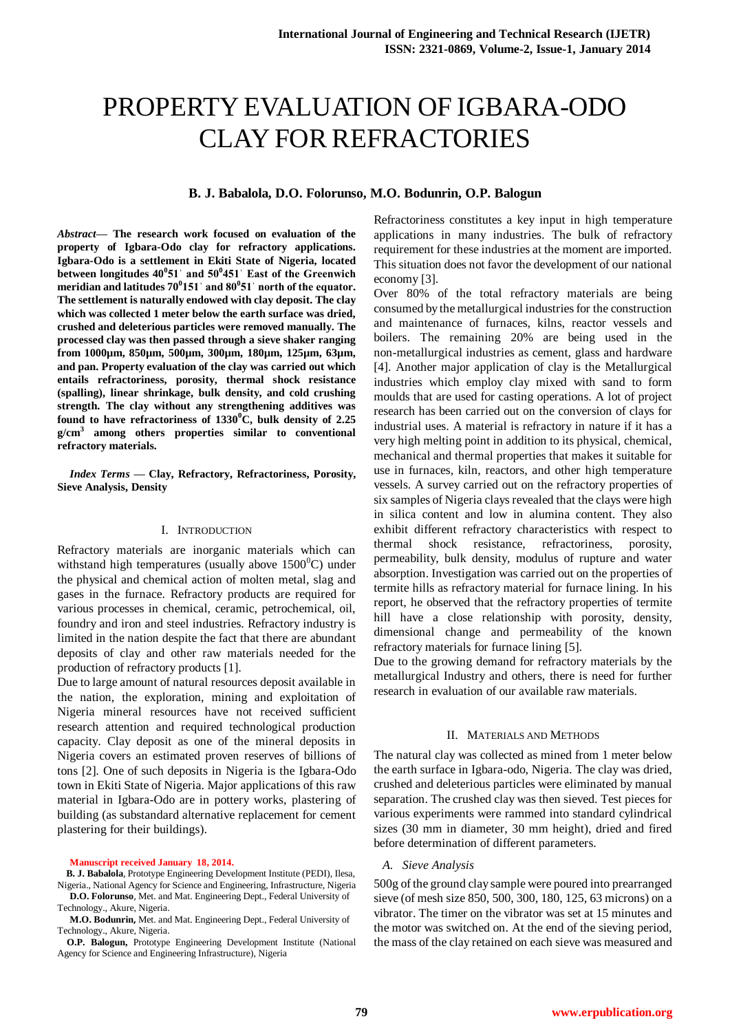# PROPERTY EVALUATION OF IGBARA-ODO CLAY FOR REFRACTORIES

## **B. J. Babalola, D.O. Folorunso, M.O. Bodunrin, O.P. Balogun**

*Abstract***— The research work focused on evaluation of the property of Igbara-Odo clay for refractory applications. Igbara-Odo is a settlement in Ekiti State of Nigeria, located between longitudes 40<sup>0</sup> 51ˈ and 50<sup>0</sup> 451ˈ East of the Greenwich meridian and latitudes 70<sup>0</sup> 151ˈ and 80<sup>0</sup> 51ˈ north of the equator. The settlement is naturally endowed with clay deposit. The clay which was collected 1 meter below the earth surface was dried, crushed and deleterious particles were removed manually. The processed clay was then passed through a sieve shaker ranging from 1000µm, 850µm, 500µm, 300µm, 180µm, 125µm, 63µm, and pan. Property evaluation of the clay was carried out which entails refractoriness, porosity, thermal shock resistance (spalling), linear shrinkage, bulk density, and cold crushing strength. The clay without any strengthening additives was found to have refractoriness of 1330<sup>0</sup>C, bulk density of 2.25 g/cm<sup>3</sup> among others properties similar to conventional refractory materials.**

*Index Terms* **— Clay, Refractory, Refractoriness, Porosity, Sieve Analysis, Density**

## I. INTRODUCTION

Refractory materials are inorganic materials which can withstand high temperatures (usually above  $1500^{\circ}$ C) under the physical and chemical action of molten metal, slag and gases in the furnace. Refractory products are required for various processes in chemical, ceramic, petrochemical, oil, foundry and iron and steel industries. Refractory industry is limited in the nation despite the fact that there are abundant deposits of clay and other raw materials needed for the production of refractory products [1]*.*

Due to large amount of natural resources deposit available in the nation, the exploration, mining and exploitation of Nigeria mineral resources have not received sufficient research attention and required technological production capacity. Clay deposit as one of the mineral deposits in Nigeria covers an estimated proven reserves of billions of tons [2]*.* One of such deposits in Nigeria is the Igbara-Odo town in Ekiti State of Nigeria. Major applications of this raw material in Igbara-Odo are in pottery works, plastering of building (as substandard alternative replacement for cement plastering for their buildings).

#### **Manuscript received January 18, 2014.**

 **B. J. Babalola**, Prototype Engineering Development Institute (PEDI), Ilesa, Nigeria., National Agency for Science and Engineering, Infrastructure, Nigeria

**D.O. Folorunso**, Met. and Mat. Engineering Dept., Federal University of Technology., Akure, Nigeria.

#### **M.O. Bodunrin,** Met. and Mat. Engineering Dept., Federal University of Technology., Akure, Nigeria.

 **O.P. Balogun,** Prototype Engineering Development Institute (National Agency for Science and Engineering Infrastructure), Nigeria

Refractoriness constitutes a key input in high temperature applications in many industries. The bulk of refractory requirement for these industries at the moment are imported. This situation does not favor the development of our national economy [3].

Over 80% of the total refractory materials are being consumed by the metallurgical industries for the construction and maintenance of furnaces, kilns, reactor vessels and boilers. The remaining 20% are being used in the non-metallurgical industries as cement, glass and hardware [4]. Another major application of clay is the Metallurgical industries which employ clay mixed with sand to form moulds that are used for casting operations. A lot of project research has been carried out on the conversion of clays for industrial uses. A material is refractory in nature if it has a very high melting point in addition to its physical, chemical, mechanical and thermal properties that makes it suitable for use in furnaces, kiln, reactors, and other high temperature vessels. A survey carried out on the refractory properties of six samples of Nigeria clays revealed that the clays were high in silica content and low in alumina content. They also exhibit different refractory characteristics with respect to thermal shock resistance, refractoriness, porosity, permeability, bulk density, modulus of rupture and water absorption. Investigation was carried out on the properties of termite hills as refractory material for furnace lining. In his report, he observed that the refractory properties of termite hill have a close relationship with porosity, density, dimensional change and permeability of the known refractory materials for furnace lining [5].

Due to the growing demand for refractory materials by the metallurgical Industry and others, there is need for further research in evaluation of our available raw materials.

#### II. MATERIALS AND METHODS

The natural clay was collected as mined from 1 meter below the earth surface in Igbara-odo, Nigeria. The clay was dried, crushed and deleterious particles were eliminated by manual separation. The crushed clay was then sieved. Test pieces for various experiments were rammed into standard cylindrical sizes (30 mm in diameter, 30 mm height), dried and fired before determination of different parameters.

## *A. Sieve Analysis*

500g of the ground clay sample were poured into prearranged sieve (of mesh size 850, 500, 300, 180, 125, 63 microns) on a vibrator. The timer on the vibrator was set at 15 minutes and the motor was switched on. At the end of the sieving period, the mass of the clay retained on each sieve was measured and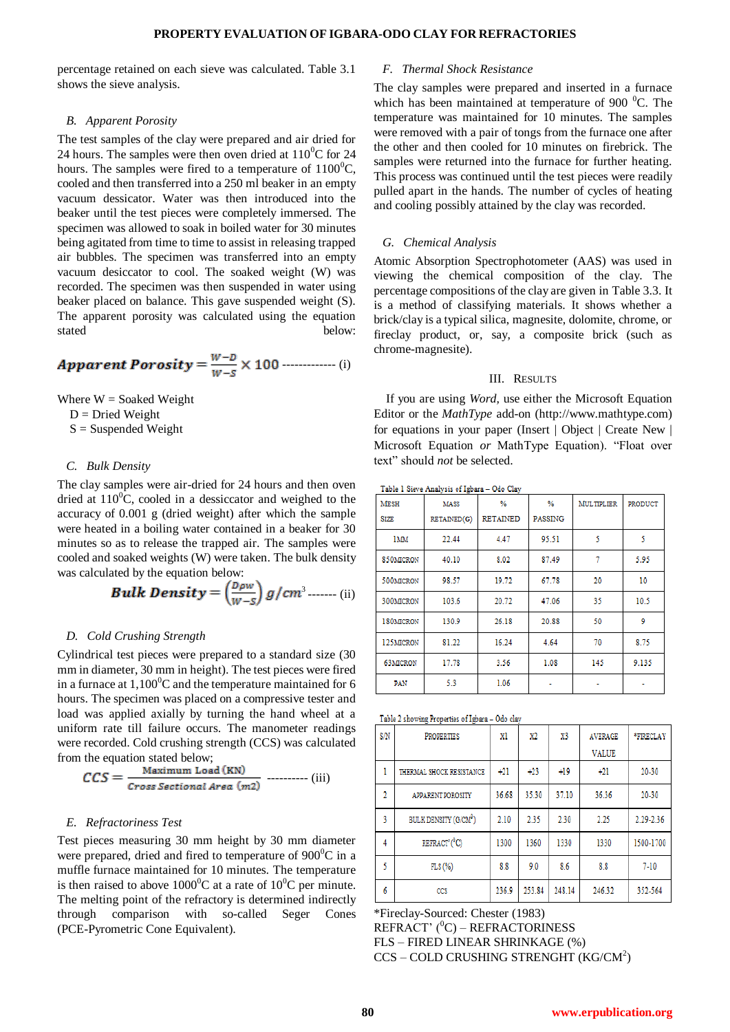## **PROPERTY EVALUATION OF IGBARA-ODO CLAY FOR REFRACTORIES**

percentage retained on each sieve was calculated. Table 3.1 shows the sieve analysis.

### *B. Apparent Porosity*

The test samples of the clay were prepared and air dried for 24 hours. The samples were then oven dried at  $110^{0}$ C for 24 hours. The samples were fired to a temperature of  $1100^{\circ}$ C, cooled and then transferred into a 250 ml beaker in an empty vacuum dessicator. Water was then introduced into the beaker until the test pieces were completely immersed. The specimen was allowed to soak in boiled water for 30 minutes being agitated from time to time to assist in releasing trapped air bubbles. The specimen was transferred into an empty vacuum desiccator to cool. The soaked weight (W) was recorded. The specimen was then suspended in water using beaker placed on balance. This gave suspended weight (S). The apparent porosity was calculated using the equation stated below:

**Apparent Proosity** = 
$$
\frac{W-D}{W-S}
$$
 × 100 (i)

Where  $W =$  Soaked Weight

 $D = Dried Weight$ 

 $S =$ Suspended Weight

## *C. Bulk Density*

The clay samples were air-dried for 24 hours and then oven dried at  $110^0$ C, cooled in a dessiccator and weighed to the accuracy of 0.001 g (dried weight) after which the sample were heated in a boiling water contained in a beaker for 30 minutes so as to release the trapped air. The samples were cooled and soaked weights (W) were taken. The bulk density was calculated by the equation below:

**Bulk Density** = 
$$
\left(\frac{D\rho w}{W-S}\right) g/cm^3
$$
........ (ii)

## *D. Cold Crushing Strength*

Cylindrical test pieces were prepared to a standard size (30 mm in diameter, 30 mm in height). The test pieces were fired in a furnace at  $1,100^{\circ}$ C and the temperature maintained for 6 hours. The specimen was placed on a compressive tester and load was applied axially by turning the hand wheel at a uniform rate till failure occurs. The manometer readings were recorded. Cold crushing strength (CCS) was calculated from the equation stated below;

$$
CCS = \frac{\text{Maximum Load (KN)}}{\text{Cross Sectional Area (m2)}} \dots \dots \dots \text{(iii)}
$$

## *E. Refractoriness Test*

Test pieces measuring 30 mm height by 30 mm diameter were prepared, dried and fired to temperature of  $900^{\circ}$ C in a muffle furnace maintained for 10 minutes. The temperature is then raised to above  $1000^{\circ}$ C at a rate of  $10^{\circ}$ C per minute. The melting point of the refractory is determined indirectly through comparison with so-called Seger Cones (PCE-Pyrometric Cone Equivalent).

## *F. Thermal Shock Resistance*

The clay samples were prepared and inserted in a furnace which has been maintained at temperature of 900  $\mathrm{^{0}C}$ . The temperature was maintained for 10 minutes. The samples were removed with a pair of tongs from the furnace one after the other and then cooled for 10 minutes on firebrick. The samples were returned into the furnace for further heating. This process was continued until the test pieces were readily pulled apart in the hands. The number of cycles of heating and cooling possibly attained by the clay was recorded.

## *G. Chemical Analysis*

Atomic Absorption Spectrophotometer (AAS) was used in viewing the chemical composition of the clay. The percentage compositions of the clay are given in Table 3.3. It is a method of classifying materials. It shows whether a brick/clay is a typical silica, magnesite, dolomite, chrome, or fireclay product, or, say, a composite brick (such as chrome-magnesite).

#### III. RESULTS

If you are using *Word,* use either the Microsoft Equation Editor or the *MathType* add-on (http://www.mathtype.com) for equations in your paper (Insert | Object | Create New | Microsoft Equation *or* MathType Equation). "Float over text" should *not* be selected.

Table 1 Sieve Analysis of Igbara - Odo Clay

| <b>MESH</b><br><b>SIZE</b> | <b>MASS</b><br>RETAINED(G) | %<br><b>RETAINED</b> | %<br>PASSING | <b>MULTIPLIER</b> | PRODUCT |
|----------------------------|----------------------------|----------------------|--------------|-------------------|---------|
| 1MM                        | 22.44                      | 4.47                 | 95.51        | 5                 | 5       |
| 850MICRON                  | 40.10                      | 8.02                 | 87.49        | 7                 | 5.95    |
| 500MICRON                  | 98.57                      | 19.72                | 67.78        | 20                | 10      |
| 300MICRON                  | 103.6                      | 20.72                | 47.06        | 35                | 10.5    |
| 180MICRON                  | 130.9                      | 26.18                | 20.88        | 50                | 9       |
| 125MICRON                  | 81.22                      | 16.24                | 4.64         | 70                | 8.75    |
| <b>63MICRON</b>            | 17.78                      | 3.56                 | 1.08         | 145               | 9.135   |
| PAN                        | 5.3                        | 1.06                 |              |                   |         |

| Table 2 showing Properties of Igbara - Odo clay |  |  |  |  |  |  |
|-------------------------------------------------|--|--|--|--|--|--|
|-------------------------------------------------|--|--|--|--|--|--|

| S/N            | <b>PROPERTIES</b>                 | xl    | $_{\rm X2}$ | X3     | <b>AVERAGE</b> | *FIRECLAY |
|----------------|-----------------------------------|-------|-------------|--------|----------------|-----------|
|                |                                   |       |             |        | <b>VALUE</b>   |           |
| 1              | THERMAL SHOCK RESISTANCE          | $+21$ | $+23$       | $+19$  | $+21$          | 20-30     |
| $\overline{2}$ | <b>APPARENT POROSITY</b>          | 36.68 | 35.30       | 37.10  | 36.36          | 20-30     |
| 3              | BULK DENSITY (G/CM <sup>3</sup> ) | 2.10  | 2.35        | 2.30   | 2.25           | 2.29-2.36 |
| 4              | REFRACT'( <sup>0</sup> C)         | 1300  | 1360        | 1330   | 1330           | 1500-1700 |
| 5              | FLS(%)                            | 8.8   | 9.0         | 8.6    | 8.8            | $7 - 10$  |
| 6              | CCS                               | 236.9 | 253.84      | 248.14 | 246.32         | 352-564   |

\*Fireclay-Sourced: Chester (1983)

REFRACT'  $(^{0}C)$  – REFRACTORINESS FLS – FIRED LINEAR SHRINKAGE (%) CCS - COLD CRUSHING STRENGHT (KG/CM<sup>2</sup>)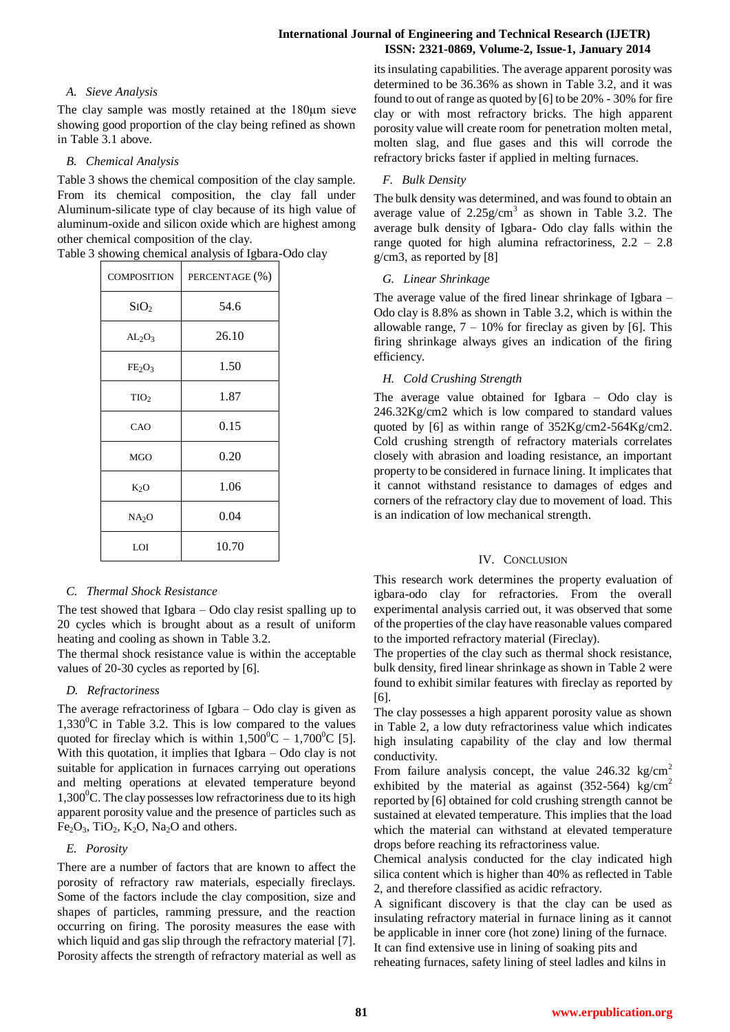# *A. Sieve Analysis*

The clay sample was mostly retained at the 180μm sieve showing good proportion of the clay being refined as shown in Table 3.1 above.

# *B. Chemical Analysis*

Table 3 shows the chemical composition of the clay sample. From its chemical composition, the clay fall under Aluminum-silicate type of clay because of its high value of aluminum-oxide and silicon oxide which are highest among other chemical composition of the clay.

| <b>COMPOSITION</b>             | PERCENTAGE (%) |
|--------------------------------|----------------|
| SiO <sub>2</sub>               | 54.6           |
| AL <sub>2</sub> O <sub>3</sub> | 26.10          |
| $FE_2O_3$                      | 1.50           |
| TIO <sub>2</sub>               | 1.87           |
| CAO                            | 0.15           |
| <b>MGO</b>                     | 0.20           |
| $K_2O$                         | 1.06           |
| NA <sub>2</sub> O              | 0.04           |
| LOI                            | 10.70          |

# Table 3 showing chemical analysis of Igbara-Odo clay

# *C. Thermal Shock Resistance*

The test showed that Igbara – Odo clay resist spalling up to 20 cycles which is brought about as a result of uniform heating and cooling as shown in Table 3.2.

The thermal shock resistance value is within the acceptable values of 20-30 cycles as reported by [6].

# *D. Refractoriness*

The average refractoriness of Igbara – Odo clay is given as  $1,330^{\circ}$ C in Table 3.2. This is low compared to the values quoted for fireclay which is within  $1,500^{\circ}$ C –  $1,700^{\circ}$ C [5]. With this quotation, it implies that Igbara – Odo clay is not suitable for application in furnaces carrying out operations and melting operations at elevated temperature beyond  $1,300^{\circ}$ C. The clay possesses low refractoriness due to its high apparent porosity value and the presence of particles such as  $Fe<sub>2</sub>O<sub>3</sub>$ , TiO<sub>2</sub>, K<sub>2</sub>O, Na<sub>2</sub>O and others.

# *E. Porosity*

There are a number of factors that are known to affect the porosity of refractory raw materials, especially fireclays. Some of the factors include the clay composition, size and shapes of particles, ramming pressure, and the reaction occurring on firing. The porosity measures the ease with which liquid and gas slip through the refractory material [7]*.* Porosity affects the strength of refractory material as well as its insulating capabilities. The average apparent porosity was determined to be 36.36% as shown in Table 3.2, and it was found to out of range as quoted by [6] to be 20% - 30% for fire clay or with most refractory bricks. The high apparent porosity value will create room for penetration molten metal, molten slag, and flue gases and this will corrode the refractory bricks faster if applied in melting furnaces.

# *F. Bulk Density*

The bulk density was determined, and was found to obtain an average value of  $2.25g/cm^3$  as shown in Table 3.2. The average bulk density of Igbara- Odo clay falls within the range quoted for high alumina refractoriness, 2.2 – 2.8 g/cm3, as reported by [8]

# *G. Linear Shrinkage*

The average value of the fired linear shrinkage of Igbara – Odo clay is 8.8% as shown in Table 3.2, which is within the allowable range,  $7 - 10\%$  for fireclay as given by [6]. This firing shrinkage always gives an indication of the firing efficiency.

# *H. Cold Crushing Strength*

The average value obtained for Igbara – Odo clay is 246.32Kg/cm2 which is low compared to standard values quoted by [6] as within range of 352Kg/cm2-564Kg/cm2. Cold crushing strength of refractory materials correlates closely with abrasion and loading resistance, an important property to be considered in furnace lining. It implicates that it cannot withstand resistance to damages of edges and corners of the refractory clay due to movement of load. This is an indication of low mechanical strength.

# IV. CONCLUSION

This research work determines the property evaluation of igbara-odo clay for refractories. From the overall experimental analysis carried out, it was observed that some of the properties of the clay have reasonable values compared to the imported refractory material (Fireclay).

The properties of the clay such as thermal shock resistance, bulk density, fired linear shrinkage as shown in Table 2 were found to exhibit similar features with fireclay as reported by [6].

The clay possesses a high apparent porosity value as shown in Table 2, a low duty refractoriness value which indicates high insulating capability of the clay and low thermal conductivity.

From failure analysis concept, the value  $246.32 \text{ kg/cm}^2$ exhibited by the material as against  $(352-564)$  kg/cm<sup>2</sup> reported by [6] obtained for cold crushing strength cannot be sustained at elevated temperature. This implies that the load which the material can withstand at elevated temperature drops before reaching its refractoriness value.

Chemical analysis conducted for the clay indicated high silica content which is higher than 40% as reflected in Table 2, and therefore classified as acidic refractory.

A significant discovery is that the clay can be used as insulating refractory material in furnace lining as it cannot be applicable in inner core (hot zone) lining of the furnace.

It can find extensive use in lining of soaking pits and reheating furnaces, safety lining of steel ladles and kilns in